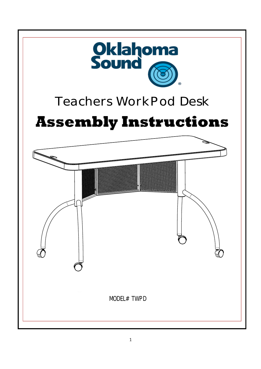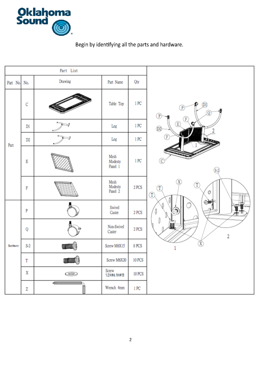

Begin by identifying all the parts and hardware.

| Part List |                |                                                                                                                                                                                                                                                                                                                                                                                                                                                                                                                                                                                                                                  |                            |               |                                                                                                                                                                                     |
|-----------|----------------|----------------------------------------------------------------------------------------------------------------------------------------------------------------------------------------------------------------------------------------------------------------------------------------------------------------------------------------------------------------------------------------------------------------------------------------------------------------------------------------------------------------------------------------------------------------------------------------------------------------------------------|----------------------------|---------------|-------------------------------------------------------------------------------------------------------------------------------------------------------------------------------------|
| Part No.  | No.            | Drawing                                                                                                                                                                                                                                                                                                                                                                                                                                                                                                                                                                                                                          | Part Name                  | Qty           |                                                                                                                                                                                     |
| Part      | c              |                                                                                                                                                                                                                                                                                                                                                                                                                                                                                                                                                                                                                                  | Table Top                  | 1 PC          | (DI)<br>Ð<br>P<br>0<br>P<br>F<br>$\circledR$<br>Q<br>O2<br>Œ<br>(C<br>$S-2$<br>$\overline{\texttt{X}}$<br>T)<br>$\left( \mathbf{T}\right)$<br>Ô<br>$^\text{\tiny{\textregistered}}$ |
|           | DI             | $\frac{1}{2}$                                                                                                                                                                                                                                                                                                                                                                                                                                                                                                                                                                                                                    | Leg                        | 1 PC          |                                                                                                                                                                                     |
|           | D <sub>2</sub> |                                                                                                                                                                                                                                                                                                                                                                                                                                                                                                                                                                                                                                  | Leg                        | 1 PC          |                                                                                                                                                                                     |
|           | Ε              |                                                                                                                                                                                                                                                                                                                                                                                                                                                                                                                                                                                                                                  | Mesh<br>Modesty<br>Panel 1 | 1 PC          |                                                                                                                                                                                     |
|           | F              |                                                                                                                                                                                                                                                                                                                                                                                                                                                                                                                                                                                                                                  | Mesh<br>Modesty<br>Panel 2 | 2 PCS         |                                                                                                                                                                                     |
| Bardware  | P              |                                                                                                                                                                                                                                                                                                                                                                                                                                                                                                                                                                                                                                  | Swivel<br>Caster           | 2 PCS         |                                                                                                                                                                                     |
|           | Q              |                                                                                                                                                                                                                                                                                                                                                                                                                                                                                                                                                                                                                                  | Non-Swivel<br>Caster       | 2 PCS         | $\overline{2}$                                                                                                                                                                      |
|           | $S-2$          | 珊眼                                                                                                                                                                                                                                                                                                                                                                                                                                                                                                                                                                                                                               | Screw M6X15                | 8 PCS         |                                                                                                                                                                                     |
|           | T              | wa ()                                                                                                                                                                                                                                                                                                                                                                                                                                                                                                                                                                                                                            | Screw M6X20                | <b>10 PCS</b> |                                                                                                                                                                                     |
|           | x              | رد                                                                                                                                                                                                                                                                                                                                                                                                                                                                                                                                                                                                                               | Screw<br>1.2XØ6.1XØ13      | <b>10 PCS</b> |                                                                                                                                                                                     |
|           | Z              | $\begin{tabular}{c} \quad \quad \quad & \quad \quad \\ \hline \quad \quad & \quad \quad \\ \hline \quad \quad & \quad \quad \\ \hline \quad \quad & \quad \quad \\ \hline \quad \quad & \quad \quad \\ \hline \quad \quad & \quad \quad \\ \hline \quad \quad & \quad \quad \\ \hline \quad \quad & \quad \quad \\ \hline \quad \quad & \quad \quad \\ \hline \quad \quad & \quad \quad \\ \hline \quad \quad & \quad \quad \\ \hline \quad \quad & \quad \quad \\ \hline \quad \quad & \quad \quad \\ \hline \quad \quad & \quad \quad \\ \hline \quad \quad & \quad \quad \\ \hline \quad \quad & \quad \quad \\ \hline \quad$ | Wrench 4mm                 | 1 PC          |                                                                                                                                                                                     |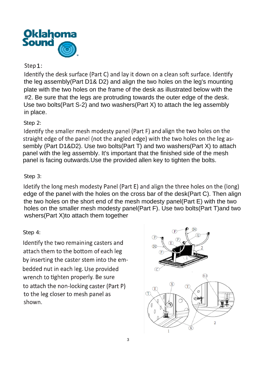

### Step  $1:$

Identify the desk surface (Part C) and lay it down on a clean soft surface, Identify the leg assembly(Part D1& D2) and align the two holes on the leg's mounting plate with the two holes on the frame of the desk as illustrated below with the #2. Be sure that the legs are protruding towards the outer edge of the desk. Use two bolts(Part S-2) and two washers(Part X) to attach the leg assembly in place.

# Step 2:

Identify the smaller mesh modesty panel (Part F) and align the two holes on the straight edge of the panel (not the angled edge) with the two holes on the leg assembly (Part D1&D2). Use two bolts(Part T) and two washers(Part X) to attach panel with the leg assembly. It's important that the finished side of the mesh panel is facing outwards.Use the provided allen key to tighten the bolts.

# Step 3:

Idetify the long mesh modesty Panel (Part E) and align the three holes on the (long) edge of the panel with the holes on the cross bar of the desk(Part C). Then align the two holes on the short end of the mesh modesty panel(Part E) with the two holes on the smaller mesh modesty panel(Part F). Use two bolts(Part T)and two wshers(Part X)to attach them together

#### Step 4:

Identify the two remaining casters and attach them to the bottom of each leg by inserting the caster stem into the embedded nut in each leg. Use provided wrench to tighten properly. Be sure to attach the non-locking caster (Part P) to the leg closer to mesh panel as shown.